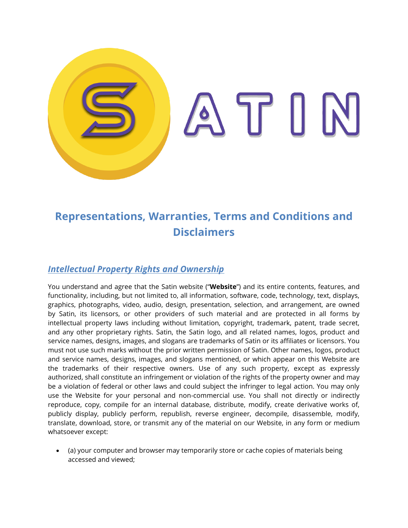

# **Representations, Warranties, Terms and Conditions and Disclaimers**

# *Intellectual Property Rights and Ownership*

You understand and agree that the Satin website ("**Website**") and its entire contents, features, and functionality, including, but not limited to, all information, software, code, technology, text, displays, graphics, photographs, video, audio, design, presentation, selection, and arrangement, are owned by Satin, its licensors, or other providers of such material and are protected in all forms by intellectual property laws including without limitation, copyright, trademark, patent, trade secret, and any other proprietary rights. Satin, the Satin logo, and all related names, logos, product and service names, designs, images, and slogans are trademarks of Satin or its affiliates or licensors. You must not use such marks without the prior written permission of Satin. Other names, logos, product and service names, designs, images, and slogans mentioned, or which appear on this Website are the trademarks of their respective owners. Use of any such property, except as expressly authorized, shall constitute an infringement or violation of the rights of the property owner and may be a violation of federal or other laws and could subject the infringer to legal action. You may only use the Website for your personal and non-commercial use. You shall not directly or indirectly reproduce, copy, compile for an internal database, distribute, modify, create derivative works of, publicly display, publicly perform, republish, reverse engineer, decompile, disassemble, modify, translate, download, store, or transmit any of the material on our Website, in any form or medium whatsoever except:

 (a) your computer and browser may temporarily store or cache copies of materials being accessed and viewed;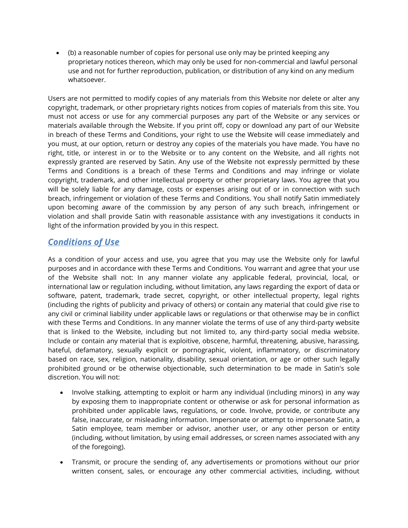(b) a reasonable number of copies for personal use only may be printed keeping any proprietary notices thereon, which may only be used for non-commercial and lawful personal use and not for further reproduction, publication, or distribution of any kind on any medium whatsoever.

Users are not permitted to modify copies of any materials from this Website nor delete or alter any copyright, trademark, or other proprietary rights notices from copies of materials from this site. You must not access or use for any commercial purposes any part of the Website or any services or materials available through the Website. If you print off, copy or download any part of our Website in breach of these Terms and Conditions, your right to use the Website will cease immediately and you must, at our option, return or destroy any copies of the materials you have made. You have no right, title, or interest in or to the Website or to any content on the Website, and all rights not expressly granted are reserved by Satin. Any use of the Website not expressly permitted by these Terms and Conditions is a breach of these Terms and Conditions and may infringe or violate copyright, trademark, and other intellectual property or other proprietary laws. You agree that you will be solely liable for any damage, costs or expenses arising out of or in connection with such breach, infringement or violation of these Terms and Conditions. You shall notify Satin immediately upon becoming aware of the commission by any person of any such breach, infringement or violation and shall provide Satin with reasonable assistance with any investigations it conducts in light of the information provided by you in this respect.

# *Conditions of Use*

As a condition of your access and use, you agree that you may use the Website only for lawful purposes and in accordance with these Terms and Conditions. You warrant and agree that your use of the Website shall not: In any manner violate any applicable federal, provincial, local, or international law or regulation including, without limitation, any laws regarding the export of data or software, patent, trademark, trade secret, copyright, or other intellectual property, legal rights (including the rights of publicity and privacy of others) or contain any material that could give rise to any civil or criminal liability under applicable laws or regulations or that otherwise may be in conflict with these Terms and Conditions. In any manner violate the terms of use of any third-party website that is linked to the Website, including but not limited to, any third-party social media website. Include or contain any material that is exploitive, obscene, harmful, threatening, abusive, harassing, hateful, defamatory, sexually explicit or pornographic, violent, inflammatory, or discriminatory based on race, sex, religion, nationality, disability, sexual orientation, or age or other such legally prohibited ground or be otherwise objectionable, such determination to be made in Satin's sole discretion. You will not:

- Involve stalking, attempting to exploit or harm any individual (including minors) in any way by exposing them to inappropriate content or otherwise or ask for personal information as prohibited under applicable laws, regulations, or code. Involve, provide, or contribute any false, inaccurate, or misleading information. Impersonate or attempt to impersonate Satin, a Satin employee, team member or advisor, another user, or any other person or entity (including, without limitation, by using email addresses, or screen names associated with any of the foregoing).
- Transmit, or procure the sending of, any advertisements or promotions without our prior written consent, sales, or encourage any other commercial activities, including, without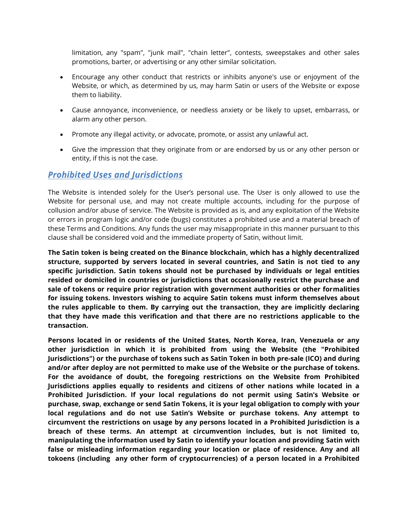limitation, any "spam", "junk mail", "chain letter", contests, sweepstakes and other sales promotions, barter, or advertising or any other similar solicitation.

- Encourage any other conduct that restricts or inhibits anyone's use or enjoyment of the Website, or which, as determined by us, may harm Satin or users of the Website or expose them to liability.
- Cause annoyance, inconvenience, or needless anxiety or be likely to upset, embarrass, or alarm any other person.
- Promote any illegal activity, or advocate, promote, or assist any unlawful act.
- Give the impression that they originate from or are endorsed by us or any other person or entity, if this is not the case.

### *Prohibited Uses and Jurisdictions*

The Website is intended solely for the User's personal use. The User is only allowed to use the Website for personal use, and may not create multiple accounts, including for the purpose of collusion and/or abuse of service. The Website is provided as is, and any exploitation of the Website or errors in program logic and/or code (bugs) constitutes a prohibited use and a material breach of these Terms and Conditions. Any funds the user may misappropriate in this manner pursuant to this clause shall be considered void and the immediate property of Satin, without limit.

**The Satin token is being created on the Binance blockchain, which has a highly decentralized structure, supported by servers located in several countries, and Satin is not tied to any specific jurisdiction. Satin tokens should not be purchased by individuals or legal entities resided or domiciled in countries or jurisdictions that occasionally restrict the purchase and sale of tokens or require prior registration with government authorities or other formalities for issuing tokens. Investors wishing to acquire Satin tokens must inform themselves about the rules applicable to them. By carrying out the transaction, they are implicitly declaring that they have made this verification and that there are no restrictions applicable to the transaction.**

**Persons located in or residents of the United States, North Korea, Iran, Venezuela or any other jurisdiction in which it is prohibited from using the Website (the "Prohibited Jurisdictions") or the purchase of tokens such as Satin Token in both pre-sale (ICO) and during and/or after deploy are not permitted to make use of the Website or the purchase of tokens. For the avoidance of doubt, the foregoing restrictions on the Website from Prohibited Jurisdictions applies equally to residents and citizens of other nations while located in a Prohibited Jurisdiction. If your local regulations do not permit using Satin's Website or purchase, swap, exchange or send Satin Tokens, it is your legal obligation to comply with your local regulations and do not use Satin's Website or purchase tokens. Any attempt to circumvent the restrictions on usage by any persons located in a Prohibited Jurisdiction is a breach of these terms. An attempt at circumvention includes, but is not limited to, manipulating the information used by Satin to identify your location and providing Satin with false or misleading information regarding your location or place of residence. Any and all tokoens (including any other form of cryptocurrencies) of a person located in a Prohibited**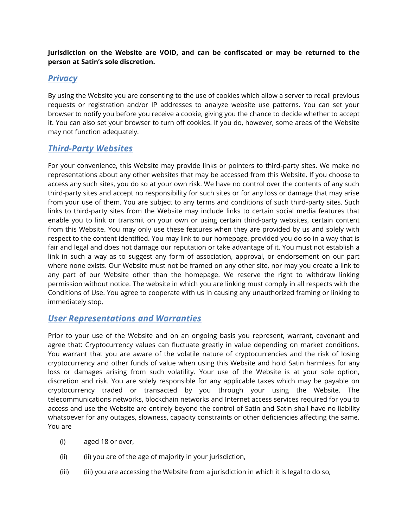#### **Jurisdiction on the Website are VOID, and can be confiscated or may be returned to the person at Satin's sole discretion.**

# *Privacy*

By using the Website you are consenting to the use of cookies which allow a server to recall previous requests or registration and/or IP addresses to analyze website use patterns. You can set your browser to notify you before you receive a cookie, giving you the chance to decide whether to accept it. You can also set your browser to turn off cookies. If you do, however, some areas of the Website may not function adequately.

# *Third-Party Websites*

For your convenience, this Website may provide links or pointers to third-party sites. We make no representations about any other websites that may be accessed from this Website. If you choose to access any such sites, you do so at your own risk. We have no control over the contents of any such third-party sites and accept no responsibility for such sites or for any loss or damage that may arise from your use of them. You are subject to any terms and conditions of such third-party sites. Such links to third-party sites from the Website may include links to certain social media features that enable you to link or transmit on your own or using certain third-party websites, certain content from this Website. You may only use these features when they are provided by us and solely with respect to the content identified. You may link to our homepage, provided you do so in a way that is fair and legal and does not damage our reputation or take advantage of it. You must not establish a link in such a way as to suggest any form of association, approval, or endorsement on our part where none exists. Our Website must not be framed on any other site, nor may you create a link to any part of our Website other than the homepage. We reserve the right to withdraw linking permission without notice. The website in which you are linking must comply in all respects with the Conditions of Use. You agree to cooperate with us in causing any unauthorized framing or linking to immediately stop.

## *User Representations and Warranties*

Prior to your use of the Website and on an ongoing basis you represent, warrant, covenant and agree that: Cryptocurrency values can fluctuate greatly in value depending on market conditions. You warrant that you are aware of the volatile nature of cryptocurrencies and the risk of losing cryptocurrency and other funds of value when using this Website and hold Satin harmless for any loss or damages arising from such volatility. Your use of the Website is at your sole option, discretion and risk. You are solely responsible for any applicable taxes which may be payable on cryptocurrency traded or transacted by you through your using the Website. The telecommunications networks, blockchain networks and Internet access services required for you to access and use the Website are entirely beyond the control of Satin and Satin shall have no liability whatsoever for any outages, slowness, capacity constraints or other deficiencies affecting the same. You are

- (i) aged 18 or over,
- (ii) (ii) you are of the age of majority in your jurisdiction,
- (iii) (iii) you are accessing the Website from a jurisdiction in which it is legal to do so,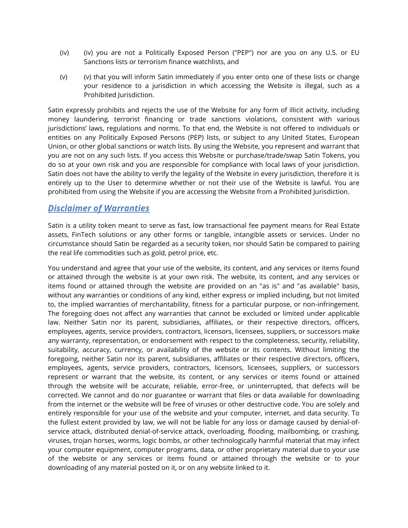- (iv) (iv) you are not a Politically Exposed Person ("PEP") nor are you on any U.S. or EU Sanctions lists or terrorism finance watchlists, and
- (v) (v) that you will inform Satin immediately if you enter onto one of these lists or change your residence to a jurisdiction in which accessing the Website is illegal, such as a Prohibited Jurisdiction.

Satin expressly prohibits and rejects the use of the Website for any form of illicit activity, including money laundering, terrorist financing or trade sanctions violations, consistent with various jurisdictions' laws, regulations and norms. To that end, the Website is not offered to individuals or entities on any Politically Exposed Persons (PEP) lists, or subject to any United States, European Union, or other global sanctions or watch lists. By using the Website, you represent and warrant that you are not on any such lists. If you access this Website or purchase/trade/swap Satin Tokens, you do so at your own risk and you are responsible for compliance with local laws of your jurisdiction. Satin does not have the ability to verify the legality of the Website in every jurisdiction, therefore it is entirely up to the User to determine whether or not their use of the Website is lawful. You are prohibited from using the Website if you are accessing the Website from a Prohibited Jurisdiction.

### *Disclaimer of Warranties*

Satin is a utility token meant to serve as fast, low transactional fee payment means for Real Estate assets, FinTech solutions or any other forms or tangible, intangible assets or services. Under no circumstance should Satin be regarded as a security token, nor should Satin be compared to pairing the real life commodities such as gold, petrol price, etc.

You understand and agree that your use of the website, its content, and any services or items found or attained through the website is at your own risk. The website, its content, and any services or items found or attained through the website are provided on an "as is" and "as available" basis, without any warranties or conditions of any kind, either express or implied including, but not limited to, the implied warranties of merchantability, fitness for a particular purpose, or non-infringement. The foregoing does not affect any warranties that cannot be excluded or limited under applicable law. Neither Satin nor its parent, subsidiaries, affiliates, or their respective directors, officers, employees, agents, service providers, contractors, licensors, licensees, suppliers, or successors make any warranty, representation, or endorsement with respect to the completeness, security, reliability, suitability, accuracy, currency, or availability of the website or its contents. Without limiting the foregoing, neither Satin nor its parent, subsidiaries, affiliates or their respective directors, officers, employees, agents, service providers, contractors, licensors, licensees, suppliers, or successors represent or warrant that the website, its content, or any services or items found or attained through the website will be accurate, reliable, error-free, or uninterrupted, that defects will be corrected. We cannot and do nor guarantee or warrant that files or data available for downloading from the internet or the website will be free of viruses or other destructive code. You are solely and entirely responsible for your use of the website and your computer, internet, and data security. To the fullest extent provided by law, we will not be liable for any loss or damage caused by denial-ofservice attack, distributed denial-of-service attack, overloading, flooding, mailbombing, or crashing, viruses, trojan horses, worms, logic bombs, or other technologically harmful material that may infect your computer equipment, computer programs, data, or other proprietary material due to your use of the website or any services or items found or attained through the website or to your downloading of any material posted on it, or on any website linked to it.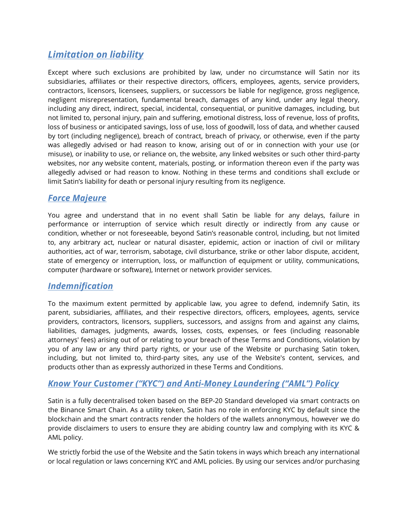# *Limitation on liability*

Except where such exclusions are prohibited by law, under no circumstance will Satin nor its subsidiaries, affiliates or their respective directors, officers, employees, agents, service providers, contractors, licensors, licensees, suppliers, or successors be liable for negligence, gross negligence, negligent misrepresentation, fundamental breach, damages of any kind, under any legal theory, including any direct, indirect, special, incidental, consequential, or punitive damages, including, but not limited to, personal injury, pain and suffering, emotional distress, loss of revenue, loss of profits, loss of business or anticipated savings, loss of use, loss of goodwill, loss of data, and whether caused by tort (including negligence), breach of contract, breach of privacy, or otherwise, even if the party was allegedly advised or had reason to know, arising out of or in connection with your use (or misuse), or inability to use, or reliance on, the website, any linked websites or such other third-party websites, nor any website content, materials, posting, or information thereon even if the party was allegedly advised or had reason to know. Nothing in these terms and conditions shall exclude or limit Satin's liability for death or personal injury resulting from its negligence.

# *Force Majeure*

You agree and understand that in no event shall Satin be liable for any delays, failure in performance or interruption of service which result directly or indirectly from any cause or condition, whether or not foreseeable, beyond Satin's reasonable control, including, but not limited to, any arbitrary act, nuclear or natural disaster, epidemic, action or inaction of civil or military authorities, act of war, terrorism, sabotage, civil disturbance, strike or other labor dispute, accident, state of emergency or interruption, loss, or malfunction of equipment or utility, communications, computer (hardware or software), Internet or network provider services.

## *Indemnification*

To the maximum extent permitted by applicable law, you agree to defend, indemnify Satin, its parent, subsidiaries, affiliates, and their respective directors, officers, employees, agents, service providers, contractors, licensors, suppliers, successors, and assigns from and against any claims, liabilities, damages, judgments, awards, losses, costs, expenses, or fees (including reasonable attorneys' fees) arising out of or relating to your breach of these Terms and Conditions, violation by you of any law or any third party rights, or your use of the Website or purchasing Satin token, including, but not limited to, third-party sites, any use of the Website's content, services, and products other than as expressly authorized in these Terms and Conditions.

## *Know Your Customer ("KYC") and Anti-Money Laundering ("AML") Policy*

Satin is a fully decentralised token based on the BEP-20 Standard developed via smart contracts on the Binance Smart Chain. As a utility token, Satin has no role in enforcing KYC by default since the blockchain and the smart contracts render the holders of the wallets annonymous, however we do provide disclaimers to users to ensure they are abiding country law and complying with its KYC & AML policy.

We strictly forbid the use of the Website and the Satin tokens in ways which breach any international or local regulation or laws concerning KYC and AML policies. By using our services and/or purchasing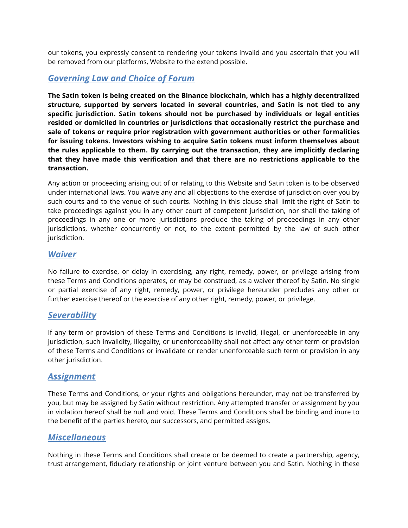our tokens, you expressly consent to rendering your tokens invalid and you ascertain that you will be removed from our platforms, Website to the extend possible.

### *Governing Law and Choice of Forum*

**The Satin token is being created on the Binance blockchain, which has a highly decentralized structure, supported by servers located in several countries, and Satin is not tied to any specific jurisdiction. Satin tokens should not be purchased by individuals or legal entities resided or domiciled in countries or jurisdictions that occasionally restrict the purchase and sale of tokens or require prior registration with government authorities or other formalities for issuing tokens. Investors wishing to acquire Satin tokens must inform themselves about the rules applicable to them. By carrying out the transaction, they are implicitly declaring that they have made this verification and that there are no restrictions applicable to the transaction.**

Any action or proceeding arising out of or relating to this Website and Satin token is to be observed under international laws. You waive any and all objections to the exercise of jurisdiction over you by such courts and to the venue of such courts. Nothing in this clause shall limit the right of Satin to take proceedings against you in any other court of competent jurisdiction, nor shall the taking of proceedings in any one or more jurisdictions preclude the taking of proceedings in any other jurisdictions, whether concurrently or not, to the extent permitted by the law of such other jurisdiction.

### *Waiver*

No failure to exercise, or delay in exercising, any right, remedy, power, or privilege arising from these Terms and Conditions operates, or may be construed, as a waiver thereof by Satin. No single or partial exercise of any right, remedy, power, or privilege hereunder precludes any other or further exercise thereof or the exercise of any other right, remedy, power, or privilege.

### *Severability*

If any term or provision of these Terms and Conditions is invalid, illegal, or unenforceable in any jurisdiction, such invalidity, illegality, or unenforceability shall not affect any other term or provision of these Terms and Conditions or invalidate or render unenforceable such term or provision in any other jurisdiction.

### *Assignment*

These Terms and Conditions, or your rights and obligations hereunder, may not be transferred by you, but may be assigned by Satin without restriction. Any attempted transfer or assignment by you in violation hereof shall be null and void. These Terms and Conditions shall be binding and inure to the benefit of the parties hereto, our successors, and permitted assigns.

### *Miscellaneous*

Nothing in these Terms and Conditions shall create or be deemed to create a partnership, agency, trust arrangement, fiduciary relationship or joint venture between you and Satin. Nothing in these